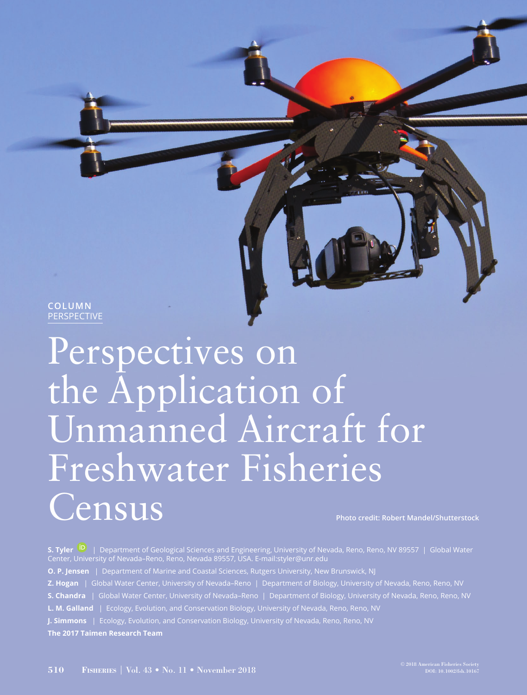**COLUMN** PERSPECTIVE

# Perspectives on the Application of Unmanned Aircraft for Freshwater Fisheries Census **Photo credit: Robert Mandel/Shutterstock**

**S. Tyler** | Department of Geological Sciences and Engineering, University of Nevada, Reno, Reno, NV 89557 | Global Water Center, University of Nevada–Reno, Reno, Nevada 89557, USA. E-mail:styler@unr.edu **O. P. Jensen** | Department of Marine and Coastal Sciences, Rutgers University, New Brunswick, NJ **Z. Hogan** | Global Water Center, University of Nevada–Reno | Department of Biology, University of Nevada, Reno, Reno, NV **S. Chandra** | Global Water Center, University of Nevada–Reno | Department of Biology, University of Nevada, Reno, Reno, NV **L. M. Galland** | Ecology, Evolution, and Conservation Biology, University of Nevada, Reno, Reno, NV **J. Simmons** | Ecology, Evolution, and Conservation Biology, University of Nevada, Reno, Reno, NV **The 2017 Taimen Research Team**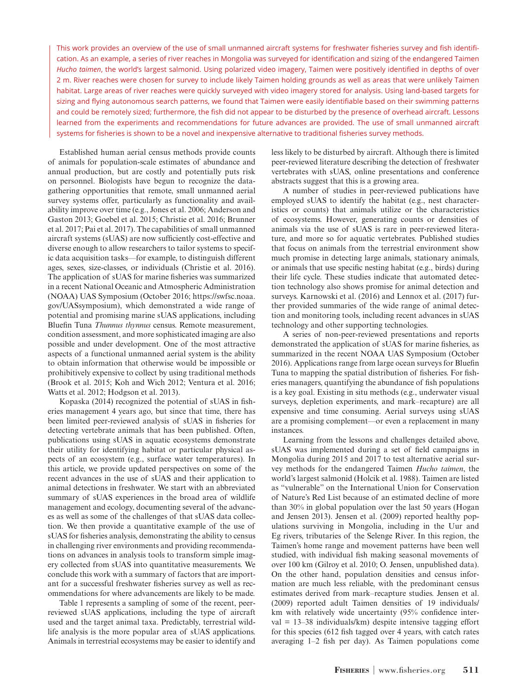This work provides an overview of the use of small unmanned aircraft systems for freshwater fisheries survey and fish identification. As an example, a series of river reaches in Mongolia was surveyed for identification and sizing of the endangered Taimen *Hucho taimen*, the world's largest salmonid. Using polarized video imagery, Taimen were positively identified in depths of over 2 m. River reaches were chosen for survey to include likely Taimen holding grounds as well as areas that were unlikely Taimen habitat. Large areas of river reaches were quickly surveyed with video imagery stored for analysis. Using land-based targets for sizing and flying autonomous search patterns, we found that Taimen were easily identifiable based on their swimming patterns and could be remotely sized; furthermore, the fish did not appear to be disturbed by the presence of overhead aircraft. Lessons learned from the experiments and recommendations for future advances are provided. The use of small unmanned aircraft systems for fisheries is shown to be a novel and inexpensive alternative to traditional fisheries survey methods.

Established human aerial census methods provide counts of animals for population-scale estimates of abundance and annual production, but are costly and potentially puts risk on personnel. Biologists have begun to recognize the datagathering opportunities that remote, small unmanned aerial survey systems offer, particularly as functionality and availability improve over time (e.g., Jones et al. 2006; Anderson and Gaston 2013; Goebel et al. 2015; Christie et al. 2016; Brunner et al. 2017; Pai et al. 2017). The capabilities of small unmanned aircraft systems (sUAS) are now sufficiently cost-effective and diverse enough to allow researchers to tailor systems to specific data acquisition tasks—for example, to distinguish different ages, sexes, size-classes, or individuals (Christie et al. 2016). The application of sUAS for marine fisheries was summarized in a recent National Oceanic and Atmospheric Administration (NOAA) UAS Symposium (October 2016; [https://swfsc.noaa.](https://swfsc.noaa.gov/UASsymposium) [gov/UASsymposium](https://swfsc.noaa.gov/UASsymposium)), which demonstrated a wide range of potential and promising marine sUAS applications, including Bluefin Tuna *Thunnus thynnus* census. Remote measurement, condition assessment, and more sophisticated imaging are also possible and under development. One of the most attractive aspects of a functional unmanned aerial system is the ability to obtain information that otherwise would be impossible or prohibitively expensive to collect by using traditional methods (Brook et al. 2015; Koh and Wich 2012; Ventura et al. 2016; Watts et al. 2012; Hodgson et al. 2013).

Kopaska (2014) recognized the potential of sUAS in fisheries management 4 years ago, but since that time, there has been limited peer-reviewed analysis of sUAS in fisheries for detecting vertebrate animals that has been published. Often, publications using sUAS in aquatic ecosystems demonstrate their utility for identifying habitat or particular physical aspects of an ecosystem (e.g., surface water temperatures). In this article, we provide updated perspectives on some of the recent advances in the use of sUAS and their application to animal detections in freshwater. We start with an abbreviated summary of sUAS experiences in the broad area of wildlife management and ecology, documenting several of the advances as well as some of the challenges of that sUAS data collection. We then provide a quantitative example of the use of sUAS for fisheries analysis, demonstrating the ability to census in challenging river environments and providing recommendations on advances in analysis tools to transform simple imagery collected from sUAS into quantitative measurements. We conclude this work with a summary of factors that are important for a successful freshwater fisheries survey as well as recommendations for where advancements are likely to be made.

Table 1 represents a sampling of some of the recent, peerreviewed sUAS applications, including the type of aircraft used and the target animal taxa. Predictably, terrestrial wildlife analysis is the more popular area of sUAS applications. Animals in terrestrial ecosystems may be easier to identify and

less likely to be disturbed by aircraft. Although there is limited peer-reviewed literature describing the detection of freshwater vertebrates with sUAS, online presentations and conference abstracts suggest that this is a growing area.

A number of studies in peer-reviewed publications have employed sUAS to identify the habitat (e.g., nest characteristics or counts) that animals utilize or the characteristics of ecosystems. However, generating counts or densities of animals via the use of sUAS is rare in peer-reviewed literature, and more so for aquatic vertebrates. Published studies that focus on animals from the terrestrial environment show much promise in detecting large animals, stationary animals, or animals that use specific nesting habitat (e.g., birds) during their life cycle. These studies indicate that automated detection technology also shows promise for animal detection and surveys. Karnowski et al. (2016) and Lennox et al. (2017) further provided summaries of the wide range of animal detection and monitoring tools, including recent advances in sUAS technology and other supporting technologies.

A series of non-peer-reviewed presentations and reports demonstrated the application of sUAS for marine fisheries, as summarized in the recent NOAA UAS Symposium (October 2016). Applications range from large ocean surveys for Bluefin Tuna to mapping the spatial distribution of fisheries. For fisheries managers, quantifying the abundance of fish populations is a key goal. Existing in situ methods (e.g., underwater visual surveys, depletion experiments, and mark–recapture) are all expensive and time consuming. Aerial surveys using sUAS are a promising complement—or even a replacement in many instances.

Learning from the lessons and challenges detailed above, sUAS was implemented during a set of field campaigns in Mongolia during 2015 and 2017 to test alternative aerial survey methods for the endangered Taimen *Hucho taimen*, the world's largest salmonid (Holcik et al. 1988). Taimen are listed as "vulnerable" on the International Union for Conservation of Nature's Red List because of an estimated decline of more than 30% in global population over the last 50 years (Hogan and Jensen 2013). Jensen et al. (2009) reported healthy populations surviving in Mongolia, including in the Uur and Eg rivers, tributaries of the Selenge River. In this region, the Taimen's home range and movement patterns have been well studied, with individual fish making seasonal movements of over 100 km (Gilroy et al. 2010; O. Jensen, unpublished data). On the other hand, population densities and census information are much less reliable, with the predominant census estimates derived from mark–recapture studies. Jensen et al. (2009) reported adult Taimen densities of 19 individuals/ km with relatively wide uncertainty (95% confidence inter $val = 13-38$  individuals/km) despite intensive tagging effort for this species (612 fish tagged over 4 years, with catch rates averaging 1–2 fish per day). As Taimen populations come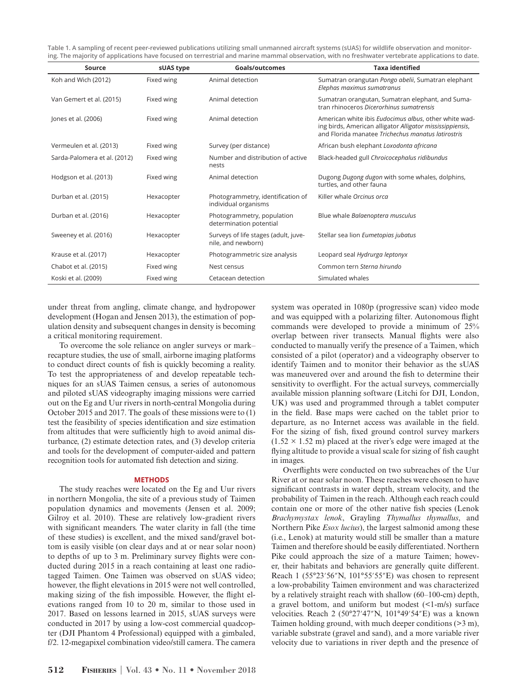**Table 1. A sampling of recent peer-reviewed publications utilizing small unmanned aircraft systems (sUAS) for wildlife observation and monitoring. The majority of applications have focused on terrestrial and marine mammal observation, with no freshwater vertebrate applications to date.**

| Source                       | sUAS type  | Goals/outcomes                                             | <b>Taxa identified</b>                                                                                                                                                   |
|------------------------------|------------|------------------------------------------------------------|--------------------------------------------------------------------------------------------------------------------------------------------------------------------------|
| Koh and Wich (2012)          | Fixed wing | Animal detection                                           | Sumatran orangutan Pongo abelii, Sumatran elephant<br>Elephas maximus sumatranus                                                                                         |
| Van Gemert et al. (2015)     | Fixed wing | Animal detection                                           | Sumatran orangutan, Sumatran elephant, and Suma-<br>tran rhinoceros Dicerorhinus sumatrensis                                                                             |
| Jones et al. (2006)          | Fixed wing | Animal detection                                           | American white ibis Eudocimus albus, other white wad-<br>ing birds, American alligator Alligator mississippiensis,<br>and Florida manatee Trichechus manatus latirostris |
| Vermeulen et al. (2013)      | Fixed wing | Survey (per distance)                                      | African bush elephant Loxodonta africana                                                                                                                                 |
| Sarda-Palomera et al. (2012) | Fixed wing | Number and distribution of active<br>nests                 | Black-headed gull Chroicocephalus ridibundus                                                                                                                             |
| Hodgson et al. (2013)        | Fixed wing | Animal detection                                           | Dugong Dugong dugon with some whales, dolphins,<br>turtles, and other fauna                                                                                              |
| Durban et al. (2015)         | Hexacopter | Photogrammetry, identification of<br>individual organisms  | Killer whale Orcinus orca                                                                                                                                                |
| Durban et al. (2016)         | Hexacopter | Photogrammetry, population<br>determination potential      | Blue whale Balaenoptera musculus                                                                                                                                         |
| Sweeney et al. (2016)        | Hexacopter | Surveys of life stages (adult, juve-<br>nile, and newborn) | Stellar sea lion Eumetopias jubatus                                                                                                                                      |
| Krause et al. (2017)         | Hexacopter | Photogrammetric size analysis                              | Leopard seal Hydrurga leptonyx                                                                                                                                           |
| Chabot et al. (2015)         | Fixed wing | Nest census                                                | Common tern Sterna hirundo                                                                                                                                               |
| Koski et al. (2009)          | Fixed wing | Cetacean detection                                         | Simulated whales                                                                                                                                                         |

under threat from angling, climate change, and hydropower development (Hogan and Jensen 2013), the estimation of population density and subsequent changes in density is becoming a critical monitoring requirement.

To overcome the sole reliance on angler surveys or mark– recapture studies, the use of small, airborne imaging platforms to conduct direct counts of fish is quickly becoming a reality. To test the appropriateness of and develop repeatable techniques for an sUAS Taimen census, a series of autonomous and piloted sUAS videography imaging missions were carried out on the Eg and Uur rivers in north-central Mongolia during October 2015 and 2017. The goals of these missions were to (1) test the feasibility of species identification and size estimation from altitudes that were sufficiently high to avoid animal disturbance, (2) estimate detection rates, and (3) develop criteria and tools for the development of computer-aided and pattern recognition tools for automated fish detection and sizing.

## **METHODS**

The study reaches were located on the Eg and Uur rivers in northern Mongolia, the site of a previous study of Taimen population dynamics and movements (Jensen et al. 2009; Gilroy et al. 2010). These are relatively low-gradient rivers with significant meanders. The water clarity in fall (the time of these studies) is excellent, and the mixed sand/gravel bottom is easily visible (on clear days and at or near solar noon) to depths of up to 3 m. Preliminary survey flights were conducted during 2015 in a reach containing at least one radiotagged Taimen. One Taimen was observed on sUAS video; however, the flight elevations in 2015 were not well controlled, making sizing of the fish impossible. However, the flight elevations ranged from 10 to 20 m, similar to those used in 2017. Based on lessons learned in 2015, sUAS surveys were conducted in 2017 by using a low-cost commercial quadcopter (DJI Phantom 4 Professional) equipped with a gimbaled, f/2. 12-megapixel combination video/still camera. The camera

and was equipped with a polarizing filter. Autonomous flight commands were developed to provide a minimum of 25% overlap between river transects. Manual flights were also conducted to manually verify the presence of a Taimen, which consisted of a pilot (operator) and a videography observer to identify Taimen and to monitor their behavior as the sUAS was maneuvered over and around the fish to determine their sensitivity to overflight. For the actual surveys, commercially available mission planning software (Litchi for DJI, London, UK) was used and programmed through a tablet computer in the field. Base maps were cached on the tablet prior to departure, as no Internet access was available in the field. For the sizing of fish, fixed ground control survey markers  $(1.52 \times 1.52 \text{ m})$  placed at the river's edge were imaged at the flying altitude to provide a visual scale for sizing of fish caught in images.

system was operated in 1080p (progressive scan) video mode

Overflights were conducted on two subreaches of the Uur River at or near solar noon. These reaches were chosen to have significant contrasts in water depth, stream velocity, and the probability of Taimen in the reach. Although each reach could contain one or more of the other native fish species (Lenok *Brachymystax lenok*, Grayling *Thymallus thymallus*, and Northern Pike *Esox lucius*), the largest salmonid among these (i.e., Lenok) at maturity would still be smaller than a mature Taimen and therefore should be easily differentiated. Northern Pike could approach the size of a mature Taimen; however, their habitats and behaviors are generally quite different. Reach 1 (55°23′56″N, 101°55′55″E) was chosen to represent a low-probability Taimen environment and was characterized by a relatively straight reach with shallow (60–100-cm) depth, a gravel bottom, and uniform but modest (<1-m/s) surface velocities. Reach 2 (50°27′47″N, 101°49′54″E) was a known Taimen holding ground, with much deeper conditions (>3 m), variable substrate (gravel and sand), and a more variable river velocity due to variations in river depth and the presence of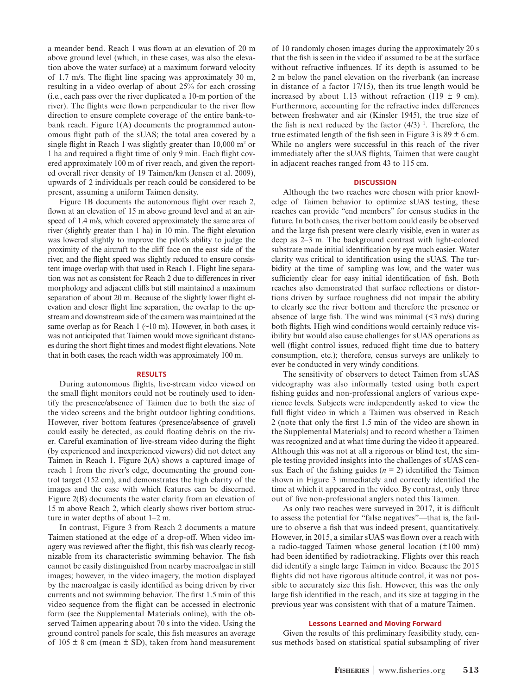a meander bend. Reach 1 was flown at an elevation of 20 m above ground level (which, in these cases, was also the elevation above the water surface) at a maximum forward velocity of 1.7 m/s. The flight line spacing was approximately 30 m, resulting in a video overlap of about 25% for each crossing (i.e., each pass over the river duplicated a 10-m portion of the river). The flights were flown perpendicular to the river flow direction to ensure complete coverage of the entire bank-tobank reach. Figure 1(A) documents the programmed autonomous flight path of the sUAS; the total area covered by a single flight in Reach 1 was slightly greater than  $10,000$  m<sup>2</sup> or 1 ha and required a flight time of only 9 min. Each flight covered approximately 100 m of river reach, and given the reported overall river density of 19 Taimen/km (Jensen et al. 2009), upwards of 2 individuals per reach could be considered to be present, assuming a uniform Taimen density.

Figure 1B documents the autonomous flight over reach 2, flown at an elevation of 15 m above ground level and at an airspeed of 1.4 m/s, which covered approximately the same area of river (slightly greater than 1 ha) in 10 min. The flight elevation was lowered slightly to improve the pilot's ability to judge the proximity of the aircraft to the cliff face on the east side of the river, and the flight speed was slightly reduced to ensure consistent image overlap with that used in Reach 1. Flight line separation was not as consistent for Reach 2 due to differences in river morphology and adjacent cliffs but still maintained a maximum separation of about 20 m. Because of the slightly lower flight elevation and closer flight line separation, the overlap to the upstream and downstream side of the camera was maintained at the same overlap as for Reach 1  $(\sim 10 \text{ m})$ . However, in both cases, it was not anticipated that Taimen would move significant distances during the short flight times and modest flight elevations. Note that in both cases, the reach width was approximately 100 m.

# **RESULTS**

During autonomous flights, live-stream video viewed on the small flight monitors could not be routinely used to identify the presence/absence of Taimen due to both the size of the video screens and the bright outdoor lighting conditions. However, river bottom features (presence/absence of gravel) could easily be detected, as could floating debris on the river. Careful examination of live-stream video during the flight (by experienced and inexperienced viewers) did not detect any Taimen in Reach 1. Figure 2(A) shows a captured image of reach 1 from the river's edge, documenting the ground control target (152 cm), and demonstrates the high clarity of the images and the ease with which features can be discerned. Figure 2(B) documents the water clarity from an elevation of 15 m above Reach 2, which clearly shows river bottom structure in water depths of about 1–2 m.

In contrast, Figure 3 from Reach 2 documents a mature Taimen stationed at the edge of a drop-off. When video imagery was reviewed after the flight, this fish was clearly recognizable from its characteristic swimming behavior. The fish cannot be easily distinguished from nearby macroalgae in still images; however, in the video imagery, the motion displayed by the macroalgae is easily identified as being driven by river currents and not swimming behavior. The first 1.5 min of this video sequence from the flight can be accessed in electronic form (see the Supplemental Materials online), with the observed Taimen appearing about 70 s into the video. Using the ground control panels for scale, this fish measures an average of  $105 \pm 8$  cm (mean  $\pm$  SD), taken from hand measurement of 10 randomly chosen images during the approximately 20 s that the fish is seen in the video if assumed to be at the surface without refractive influences. If its depth is assumed to be 2 m below the panel elevation on the riverbank (an increase in distance of a factor 17/15), then its true length would be increased by about 1.13 without refraction (119  $\pm$  9 cm). Furthermore, accounting for the refractive index differences between freshwater and air (Kinsler 1945), the true size of the fish is next reduced by the factor  $(4/3)^{-1}$ . Therefore, the true estimated length of the fish seen in Figure 3 is  $89 \pm 6$  cm. While no anglers were successful in this reach of the river immediately after the sUAS flights, Taimen that were caught in adjacent reaches ranged from 43 to 115 cm.

### **DISCUSSION**

Although the two reaches were chosen with prior knowledge of Taimen behavior to optimize sUAS testing, these reaches can provide "end members" for census studies in the future. In both cases, the river bottom could easily be observed and the large fish present were clearly visible, even in water as deep as 2–3 m. The background contrast with light-colored substrate made initial identification by eye much easier. Water clarity was critical to identification using the sUAS. The turbidity at the time of sampling was low, and the water was sufficiently clear for easy initial identification of fish. Both reaches also demonstrated that surface reflections or distortions driven by surface roughness did not impair the ability to clearly see the river bottom and therefore the presence or absence of large fish. The wind was minimal  $(\leq 3 \text{ m/s})$  during both flights. High wind conditions would certainly reduce visibility but would also cause challenges for sUAS operations as well (flight control issues, reduced flight time due to battery consumption, etc.); therefore, census surveys are unlikely to ever be conducted in very windy conditions.

The sensitivity of observers to detect Taimen from sUAS videography was also informally tested using both expert fishing guides and non-professional anglers of various experience levels. Subjects were independently asked to view the full flight video in which a Taimen was observed in Reach 2 (note that only the first 1.5 min of the video are shown in the Supplemental Materials) and to record whether a Taimen was recognized and at what time during the video it appeared. Although this was not at all a rigorous or blind test, the simple testing provided insights into the challenges of sUAS census. Each of the fishing guides  $(n = 2)$  identified the Taimen shown in Figure 3 immediately and correctly identified the time at which it appeared in the video. By contrast, only three out of five non-professional anglers noted this Taimen.

As only two reaches were surveyed in 2017, it is difficult to assess the potential for "false negatives"—that is, the failure to observe a fish that was indeed present, quantitatively. However, in 2015, a similar sUAS was flown over a reach with a radio-tagged Taimen whose general location (±100 mm) had been identified by radiotracking. Flights over this reach did identify a single large Taimen in video. Because the 2015 flights did not have rigorous altitude control, it was not possible to accurately size this fish. However, this was the only large fish identified in the reach, and its size at tagging in the previous year was consistent with that of a mature Taimen.

# **Lessons Learned and Moving Forward**

Given the results of this preliminary feasibility study, census methods based on statistical spatial subsampling of river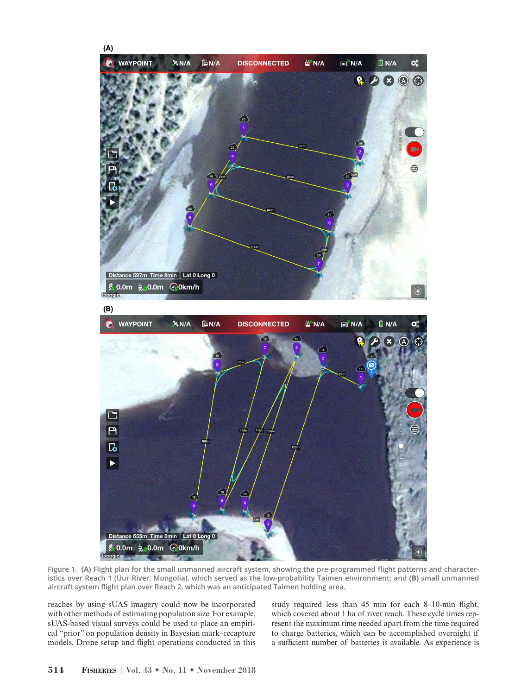

**Figure 1. (A) Flight plan for the small unmanned aircraft system, showing the pre-programmed flight patterns and characteristics over Reach 1 (Uur River, Mongolia), which served as the low-probability Taimen environment; and (B) small unmanned aircraft system flight plan over Reach 2, which was an anticipated Taimen holding area.**

reaches by using sUAS imagery could now be incorporated with other methods of estimating population size. For example, sUAS-based visual surveys could be used to place an empirical "prior" on population density in Bayesian mark–recapture models. Drone setup and flight operations conducted in this study required less than 45 min for each 8–10-min flight, which covered about 1 ha of river reach. These cycle times represent the maximum time needed apart from the time required to charge batteries, which can be accomplished overnight if a sufficient number of batteries is available. As experience is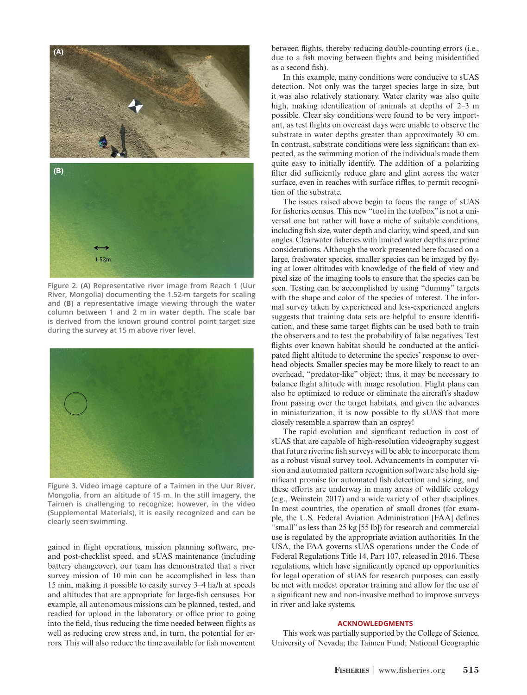

**Figure 2. (A) Representative river image from Reach 1 (Uur River, Mongolia) documenting the 1.52-m targets for scaling and (B) a representative image viewing through the water column between 1 and 2 m in water depth. The scale bar is derived from the known ground control point target size during the survey at 15 m above river level.**



**Figure 3. Video image capture of a Taimen in the Uur River, Mongolia, from an altitude of 15 m. In the still imagery, the Taimen is challenging to recognize; however, in the video (Supplemental Materials), it is easily recognized and can be clearly seen swimming.**

gained in flight operations, mission planning software, preand post-checklist speed, and sUAS maintenance (including battery changeover), our team has demonstrated that a river survey mission of 10 min can be accomplished in less than 15 min, making it possible to easily survey 3–4 ha/h at speeds and altitudes that are appropriate for large-fish censuses. For example, all autonomous missions can be planned, tested, and readied for upload in the laboratory or office prior to going into the field, thus reducing the time needed between flights as well as reducing crew stress and, in turn, the potential for errors. This will also reduce the time available for fish movement

between flights, thereby reducing double-counting errors (i.e., due to a fish moving between flights and being misidentified as a second fish).

In this example, many conditions were conducive to sUAS detection. Not only was the target species large in size, but it was also relatively stationary. Water clarity was also quite high, making identification of animals at depths of 2–3 m possible. Clear sky conditions were found to be very important, as test flights on overcast days were unable to observe the substrate in water depths greater than approximately 30 cm. In contrast, substrate conditions were less significant than expected, as the swimming motion of the individuals made them quite easy to initially identify. The addition of a polarizing filter did sufficiently reduce glare and glint across the water surface, even in reaches with surface riffles, to permit recognition of the substrate.

The issues raised above begin to focus the range of sUAS for fisheries census. This new "tool in the toolbox" is not a universal one but rather will have a niche of suitable conditions, including fish size, water depth and clarity, wind speed, and sun angles. Clearwater fisheries with limited water depths are prime considerations. Although the work presented here focused on a large, freshwater species, smaller species can be imaged by flying at lower altitudes with knowledge of the field of view and pixel size of the imaging tools to ensure that the species can be seen. Testing can be accomplished by using "dummy" targets with the shape and color of the species of interest. The informal survey taken by experienced and less-experienced anglers suggests that training data sets are helpful to ensure identification, and these same target flights can be used both to train the observers and to test the probability of false negatives. Test flights over known habitat should be conducted at the anticipated flight altitude to determine the species' response to overhead objects. Smaller species may be more likely to react to an overhead, "predator-like" object; thus, it may be necessary to balance flight altitude with image resolution. Flight plans can also be optimized to reduce or eliminate the aircraft's shadow from passing over the target habitats, and given the advances in miniaturization, it is now possible to fly sUAS that more closely resemble a sparrow than an osprey!

The rapid evolution and significant reduction in cost of sUAS that are capable of high-resolution videography suggest that future riverine fish surveys will be able to incorporate them as a robust visual survey tool. Advancements in computer vision and automated pattern recognition software also hold significant promise for automated fish detection and sizing, and these efforts are underway in many areas of wildlife ecology (e.g., Weinstein 2017) and a wide variety of other disciplines. In most countries, the operation of small drones (for example, the U.S. Federal Aviation Administration [FAA] defines "small" as less than 25 kg [55 lb]) for research and commercial use is regulated by the appropriate aviation authorities. In the USA, the FAA governs sUAS operations under the Code of Federal Regulations Title 14, Part 107, released in 2016. These regulations, which have significantly opened up opportunities for legal operation of sUAS for research purposes, can easily be met with modest operator training and allow for the use of a significant new and non-invasive method to improve surveys in river and lake systems.

# **ACKNOWLEDGMENTS**

This work was partially supported by the College of Science, University of Nevada; the Taimen Fund; National Geographic